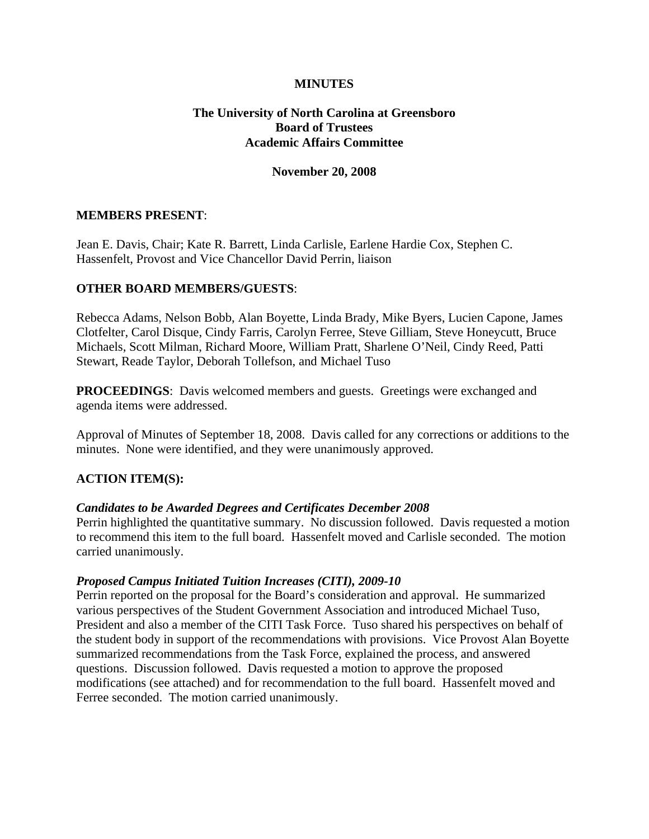### **MINUTES**

### **The University of North Carolina at Greensboro Board of Trustees Academic Affairs Committee**

#### **November 20, 2008**

#### **MEMBERS PRESENT**:

Jean E. Davis, Chair; Kate R. Barrett, Linda Carlisle, Earlene Hardie Cox, Stephen C. Hassenfelt, Provost and Vice Chancellor David Perrin, liaison

#### **OTHER BOARD MEMBERS/GUESTS**:

Rebecca Adams, Nelson Bobb, Alan Boyette, Linda Brady, Mike Byers, Lucien Capone, James Clotfelter, Carol Disque, Cindy Farris, Carolyn Ferree, Steve Gilliam, Steve Honeycutt, Bruce Michaels, Scott Milman, Richard Moore, William Pratt, Sharlene O'Neil, Cindy Reed, Patti Stewart, Reade Taylor, Deborah Tollefson, and Michael Tuso

**PROCEEDINGS**: Davis welcomed members and guests. Greetings were exchanged and agenda items were addressed.

Approval of Minutes of September 18, 2008. Davis called for any corrections or additions to the minutes. None were identified, and they were unanimously approved.

### **ACTION ITEM(S):**

#### *Candidates to be Awarded Degrees and Certificates December 2008*

Perrin highlighted the quantitative summary. No discussion followed. Davis requested a motion to recommend this item to the full board. Hassenfelt moved and Carlisle seconded. The motion carried unanimously.

#### *Proposed Campus Initiated Tuition Increases (CITI), 2009-10*

Perrin reported on the proposal for the Board's consideration and approval. He summarized various perspectives of the Student Government Association and introduced Michael Tuso, President and also a member of the CITI Task Force. Tuso shared his perspectives on behalf of the student body in support of the recommendations with provisions. Vice Provost Alan Boyette summarized recommendations from the Task Force, explained the process, and answered questions. Discussion followed. Davis requested a motion to approve the proposed modifications (see attached) and for recommendation to the full board. Hassenfelt moved and Ferree seconded. The motion carried unanimously.